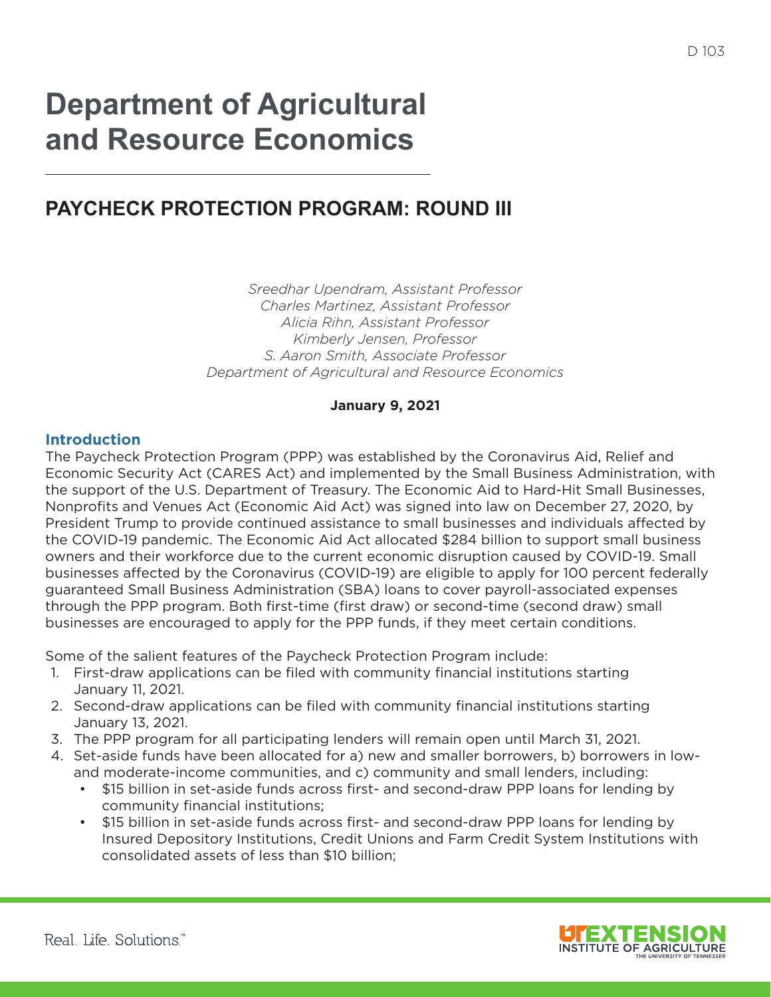# **Department of Agricultural and Resource Economics**

# **PAYCHECK PROTECTION PROGRAM: ROUND III**

*Sreedhar Upendram, Assistant Professor Charles Martinez, Assistant Professor Alicia Rihn, Assistant Professor Kimberly Jensen, Professor S. Aaron Smith, Associate Professor Department of Agricultural and Resource Economics*

#### **January 9, 2021**

#### **Introduction**

The Paycheck Protection Program (PPP) was established by the Coronavirus Aid, Relief and Economic Security Act (CARES Act) and implemented by the Small Business Administration, with the support of the U.S. Department of Treasury. The Economic Aid to Hard-Hit Small Businesses, Nonprofts and Venues Act (Economic Aid Act) was signed into law on December 27, 2020, by President Trump to provide continued assistance to small businesses and individuals afected by the COVID-19 pandemic. The Economic Aid Act allocated \$284 billion to support small business owners and their workforce due to the current economic disruption caused by COVID-19. Small businesses afected by the Coronavirus (COVID-19) are eligible to apply for 100 percent federally guaranteed Small Business Administration (SBA) loans to cover payroll-associated expenses through the PPP program. Both frst-time (frst draw) or second-time (second draw) small businesses are encouraged to apply for the PPP funds, if they meet certain conditions.

Some of the salient features of the Paycheck Protection Program include:

- 1. First-draw applications can be fled with community fnancial institutions starting January 11, 2021.
- 2. Second-draw applications can be filed with community financial institutions starting January 13, 2021.
- 3. The PPP program for all participating lenders will remain open until March 31, 2021.
- 4. Set-aside funds have been allocated for a) new and smaller borrowers, b) borrowers in lowand moderate-income communities, and c) community and small lenders, including:
	- \$15 billion in set-aside funds across first- and second-draw PPP loans for lending by community financial institutions;
	- \$15 billion in set-aside funds across frst- and second-draw PPP loans for lending by Insured Depository Institutions, Credit Unions and Farm Credit System Institutions with consolidated assets of less than \$10 billion;

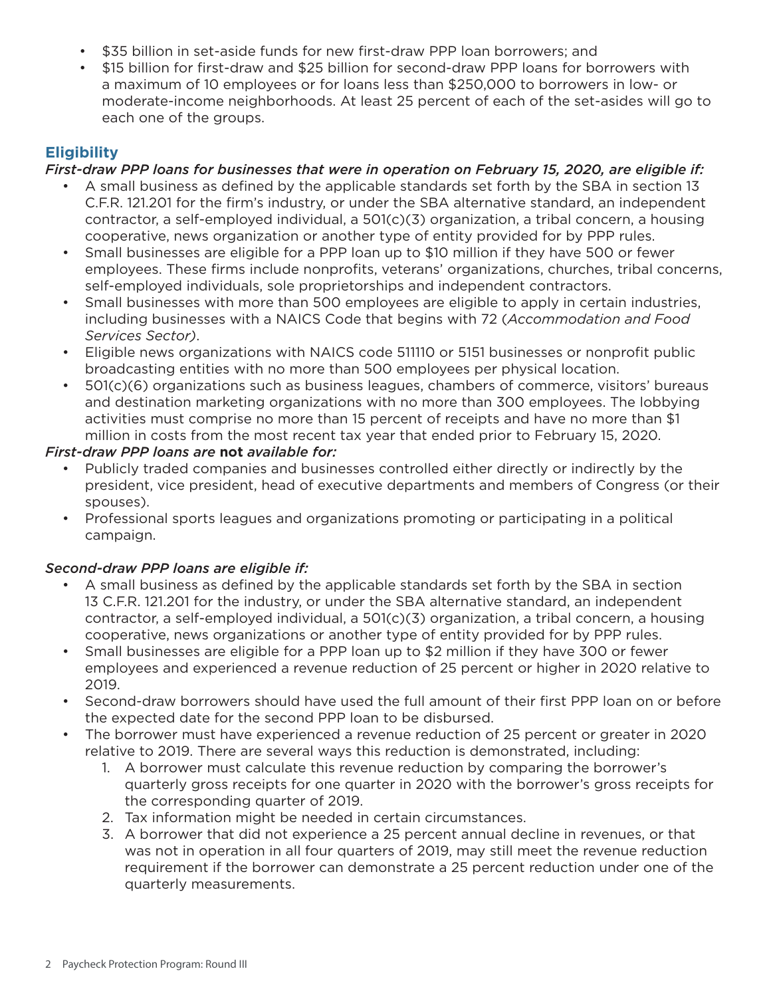- \$35 billion in set-aside funds for new frst-draw PPP loan borrowers; and
- \$15 billion for frst-draw and \$25 billion for second-draw PPP loans for borrowers with a maximum of 10 employees or for loans less than \$250,000 to borrowers in low- or moderate-income neighborhoods. At least 25 percent of each of the set-asides will go to each one of the groups.

# **Eligibility**

# *First-draw PPP loans for businesses that were in operation on February 15, 2020, are eligible if:*

- A small business as defned by the applicable standards set forth by the SBA in section 13 C.F.R. 121.201 for the frm's industry, or under the SBA alternative standard, an independent contractor, a self-employed individual, a 501(c)(3) organization, a tribal concern, a housing cooperative, news organization or another type of entity provided for by PPP rules.
- Small businesses are eligible for a PPP loan up to \$10 million if they have 500 or fewer employees. These firms include nonprofits, veterans' organizations, churches, tribal concerns, self-employed individuals, sole proprietorships and independent contractors.
- Small businesses with more than 500 employees are eligible to apply in certain industries, including businesses with a NAICS Code that begins with 72 (*Accommodation and Food Services Sector)*.
- Eligible news organizations with NAICS code 511110 or 5151 businesses or nonprofit public broadcasting entities with no more than 500 employees per physical location.
- 501(c)(6) organizations such as business leagues, chambers of commerce, visitors' bureaus and destination marketing organizations with no more than 300 employees. The lobbying activities must comprise no more than 15 percent of receipts and have no more than \$1 million in costs from the most recent tax year that ended prior to February 15, 2020.

#### *First-draw PPP loans are* **not** *available for:*

- Publicly traded companies and businesses controlled either directly or indirectly by the president, vice president, head of executive departments and members of Congress (or their spouses).
- Professional sports leagues and organizations promoting or participating in a political campaign.

# *Second-draw PPP loans are eligible if:*

- A small business as defned by the applicable standards set forth by the SBA in section 13 C.F.R. 121.201 for the industry, or under the SBA alternative standard, an independent contractor, a self-employed individual, a 501(c)(3) organization, a tribal concern, a housing cooperative, news organizations or another type of entity provided for by PPP rules.
- Small businesses are eligible for a PPP loan up to \$2 million if they have 300 or fewer employees and experienced a revenue reduction of 25 percent or higher in 2020 relative to 2019.
- Second-draw borrowers should have used the full amount of their first PPP loan on or before the expected date for the second PPP loan to be disbursed.
- The borrower must have experienced a revenue reduction of 25 percent or greater in 2020 relative to 2019. There are several ways this reduction is demonstrated, including:
	- 1. A borrower must calculate this revenue reduction by comparing the borrower's quarterly gross receipts for one quarter in 2020 with the borrower's gross receipts for the corresponding quarter of 2019.
	- 2. Tax information might be needed in certain circumstances.
	- 3. A borrower that did not experience a 25 percent annual decline in revenues, or that was not in operation in all four quarters of 2019, may still meet the revenue reduction requirement if the borrower can demonstrate a 25 percent reduction under one of the quarterly measurements.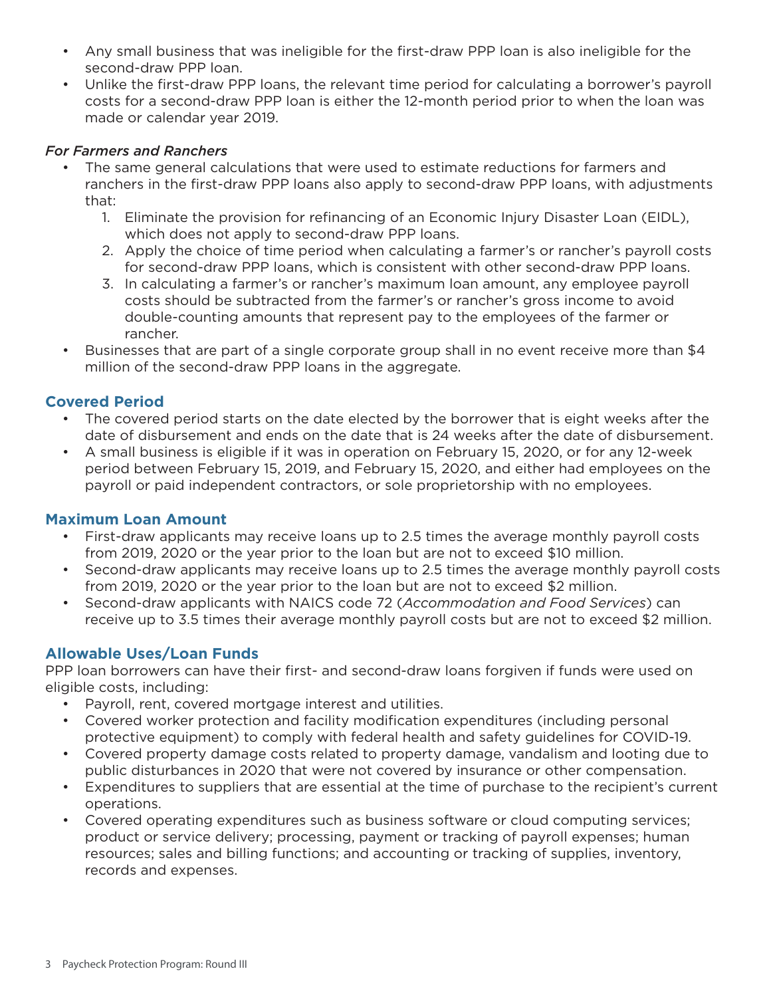- Any small business that was ineligible for the frst-draw PPP loan is also ineligible for the second-draw PPP loan.
- Unlike the frst-draw PPP loans, the relevant time period for calculating a borrower's payroll costs for a second-draw PPP loan is either the 12-month period prior to when the loan was made or calendar year 2019.

#### *For Farmers and Ranchers*

- The same general calculations that were used to estimate reductions for farmers and ranchers in the frst-draw PPP loans also apply to second-draw PPP loans, with adjustments that:
	- 1. Eliminate the provision for refnancing of an Economic Injury Disaster Loan (EIDL), which does not apply to second-draw PPP loans.
	- 2. Apply the choice of time period when calculating a farmer's or rancher's payroll costs for second-draw PPP loans, which is consistent with other second-draw PPP loans.
	- 3. In calculating a farmer's or rancher's maximum loan amount, any employee payroll costs should be subtracted from the farmer's or rancher's gross income to avoid double-counting amounts that represent pay to the employees of the farmer or rancher.
- Businesses that are part of a single corporate group shall in no event receive more than \$4 million of the second-draw PPP loans in the aggregate.

# **Covered Period**

- The covered period starts on the date elected by the borrower that is eight weeks after the date of disbursement and ends on the date that is 24 weeks after the date of disbursement.
- A small business is eligible if it was in operation on February 15, 2020, or for any 12-week period between February 15, 2019, and February 15, 2020, and either had employees on the payroll or paid independent contractors, or sole proprietorship with no employees.

# **Maximum Loan Amount**

- First-draw applicants may receive loans up to 2.5 times the average monthly payroll costs from 2019, 2020 or the year prior to the loan but are not to exceed \$10 million.
- Second-draw applicants may receive loans up to 2.5 times the average monthly payroll costs from 2019, 2020 or the year prior to the loan but are not to exceed \$2 million.
- Second-draw applicants with NAICS code 72 (*Accommodation and Food Services*) can receive up to 3.5 times their average monthly payroll costs but are not to exceed \$2 million.

# **Allowable Uses/Loan Funds**

PPP loan borrowers can have their first- and second-draw loans forgiven if funds were used on eligible costs, including:

- Payroll, rent, covered mortgage interest and utilities.
- Covered worker protection and facility modification expenditures (including personal protective equipment) to comply with federal health and safety guidelines for COVID-19.
- Covered property damage costs related to property damage, vandalism and looting due to public disturbances in 2020 that were not covered by insurance or other compensation.
- Expenditures to suppliers that are essential at the time of purchase to the recipient's current operations.
- Covered operating expenditures such as business software or cloud computing services; product or service delivery; processing, payment or tracking of payroll expenses; human resources; sales and billing functions; and accounting or tracking of supplies, inventory, records and expenses.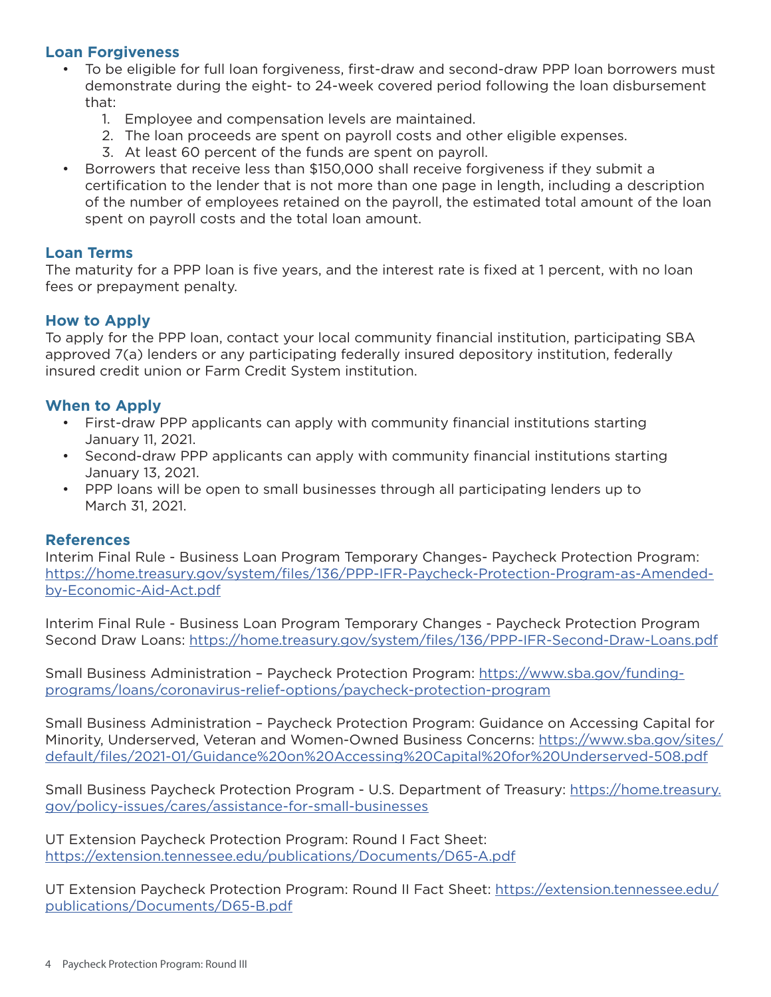#### **Loan Forgiveness**

- To be eligible for full loan forgiveness, frst-draw and second-draw PPP loan borrowers must demonstrate during the eight- to 24-week covered period following the loan disbursement that:
	- 1. Employee and compensation levels are maintained.
	- 2. The loan proceeds are spent on payroll costs and other eligible expenses.
	- 3. At least 60 percent of the funds are spent on payroll.
- Borrowers that receive less than \$150,000 shall receive forgiveness if they submit a certifcation to the lender that is not more than one page in length, including a description of the number of employees retained on the payroll, the estimated total amount of the loan spent on payroll costs and the total loan amount.

#### **Loan Terms**

The maturity for a PPP loan is five years, and the interest rate is fixed at 1 percent, with no loan fees or prepayment penalty.

#### **How to Apply**

To apply for the PPP loan, contact your local community fnancial institution, participating SBA approved 7(a) lenders or any participating federally insured depository institution, federally insured credit union or Farm Credit System institution.

# **When to Apply**

- First-draw PPP applicants can apply with community financial institutions starting January 11, 2021.
- Second-draw PPP applicants can apply with community financial institutions starting January 13, 2021.
- PPP loans will be open to small businesses through all participating lenders up to March 31, 2021.

#### **References**

Interim Final Rule - Business Loan Program Temporary Changes- Paycheck Protection Program: https://home.treasury.gov/system/fles/136/PPP-IFR-Paycheck-Protection-Program-as-Amendedby-Economic-Aid-Act.pdf

Interim Final Rule - Business Loan Program Temporary Changes - Paycheck Protection Program Second Draw Loans: https://home.treasury.gov/system/fles/136/PPP-IFR-Second-Draw-Loans.pdf

Small Business Administration – Paycheck Protection Program: https://www.sba.gov/fundingprograms/loans/coronavirus-relief-options/paycheck-protection-program

Small Business Administration – Paycheck Protection Program: Guidance on Accessing Capital for Minority, Underserved, Veteran and Women-Owned Business Concerns: https://www.sba.gov/sites/ default/fles/2021-01/Guidance%20on%20Accessing%20Capital%20for%20Underserved-508.pdf

Small Business Paycheck Protection Program - U.S. Department of Treasury: https://home.treasury. gov/policy-issues/cares/assistance-for-small-businesses

UT Extension Paycheck Protection Program: Round I Fact Sheet: https://extension.tennessee.edu/publications/Documents/D65-A.pdf

UT Extension Paycheck Protection Program: Round II Fact Sheet: https://extension.tennessee.edu/ publications/Documents/D65-B.pdf